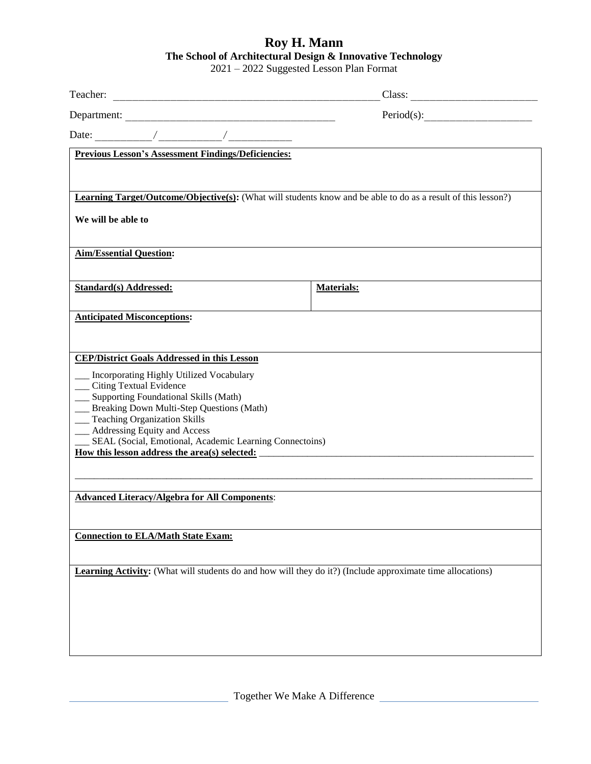## **Roy H. Mann The School of Architectural Design & Innovative Technology**

2021 – 2022 Suggested Lesson Plan Format

|                                                                                                                      | Class:            |  |
|----------------------------------------------------------------------------------------------------------------------|-------------------|--|
|                                                                                                                      | Period(s):        |  |
|                                                                                                                      |                   |  |
| <b>Previous Lesson's Assessment Findings/Deficiencies:</b>                                                           |                   |  |
|                                                                                                                      |                   |  |
| <b>Learning Target/Outcome/Objective(s):</b> (What will students know and be able to do as a result of this lesson?) |                   |  |
| We will be able to                                                                                                   |                   |  |
|                                                                                                                      |                   |  |
| <b>Aim/Essential Question:</b>                                                                                       |                   |  |
| <b>Standard(s) Addressed:</b>                                                                                        | <b>Materials:</b> |  |
|                                                                                                                      |                   |  |
| <b>Anticipated Misconceptions:</b>                                                                                   |                   |  |
|                                                                                                                      |                   |  |
| <b>CEP/District Goals Addressed in this Lesson</b>                                                                   |                   |  |
| __ Incorporating Highly Utilized Vocabulary<br>__ Citing Textual Evidence                                            |                   |  |
| __ Supporting Foundational Skills (Math)<br>__ Breaking Down Multi-Step Questions (Math)                             |                   |  |
| __ Teaching Organization Skills<br>__ Addressing Equity and Access                                                   |                   |  |
| __ SEAL (Social, Emotional, Academic Learning Connectoins)                                                           |                   |  |
|                                                                                                                      |                   |  |
|                                                                                                                      |                   |  |
| <b>Advanced Literacy/Algebra for All Components:</b>                                                                 |                   |  |
| <b>Connection to ELA/Math State Exam:</b>                                                                            |                   |  |
|                                                                                                                      |                   |  |
| <b>Learning Activity:</b> (What will students do and how will they do it?) (Include approximate time allocations)    |                   |  |
|                                                                                                                      |                   |  |
|                                                                                                                      |                   |  |
|                                                                                                                      |                   |  |
|                                                                                                                      |                   |  |